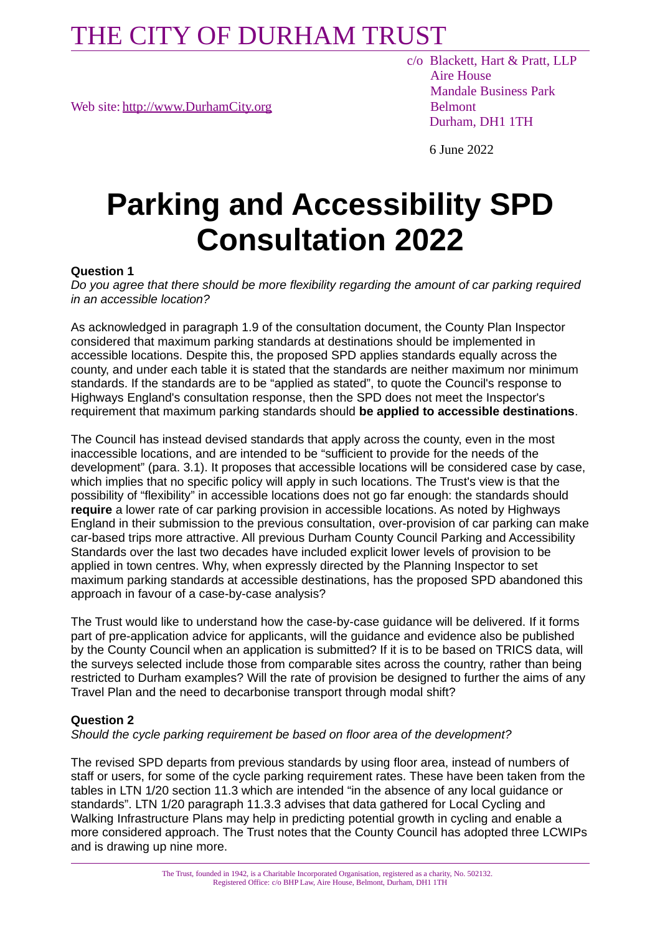Web site: [http://www.DurhamCity.org](http://www.DurhamCity.org/) Belmont

 c/o Blackett, Hart & Pratt, LLP Aire House Mandale Business Park Durham, DH1 1TH

6 June 2022

# **Parking and Accessibility SPD Consultation 2022**

#### **Question 1**

*Do you agree that there should be more flexibility regarding the amount of car parking required in an accessible location?*

As acknowledged in paragraph 1.9 of the consultation document, the County Plan Inspector considered that maximum parking standards at destinations should be implemented in accessible locations. Despite this, the proposed SPD applies standards equally across the county, and under each table it is stated that the standards are neither maximum nor minimum standards. If the standards are to be "applied as stated", to quote the Council's response to Highways England's consultation response, then the SPD does not meet the Inspector's requirement that maximum parking standards should **be applied to accessible destinations**.

The Council has instead devised standards that apply across the county, even in the most inaccessible locations, and are intended to be "sufficient to provide for the needs of the development" (para. 3.1). It proposes that accessible locations will be considered case by case, which implies that no specific policy will apply in such locations. The Trust's view is that the possibility of "flexibility" in accessible locations does not go far enough: the standards should **require** a lower rate of car parking provision in accessible locations. As noted by Highways England in their submission to the previous consultation, over-provision of car parking can make car-based trips more attractive. All previous Durham County Council Parking and Accessibility Standards over the last two decades have included explicit lower levels of provision to be applied in town centres. Why, when expressly directed by the Planning Inspector to set maximum parking standards at accessible destinations, has the proposed SPD abandoned this approach in favour of a case-by-case analysis?

The Trust would like to understand how the case-by-case guidance will be delivered. If it forms part of pre-application advice for applicants, will the guidance and evidence also be published by the County Council when an application is submitted? If it is to be based on TRICS data, will the surveys selected include those from comparable sites across the country, rather than being restricted to Durham examples? Will the rate of provision be designed to further the aims of any Travel Plan and the need to decarbonise transport through modal shift?

#### **Question 2**

*Should the cycle parking requirement be based on floor area of the development?*

The revised SPD departs from previous standards by using floor area, instead of numbers of staff or users, for some of the cycle parking requirement rates. These have been taken from the tables in LTN 1/20 section 11.3 which are intended "in the absence of any local guidance or standards". LTN 1/20 paragraph 11.3.3 advises that data gathered for Local Cycling and Walking Infrastructure Plans may help in predicting potential growth in cycling and enable a more considered approach. The Trust notes that the County Council has adopted three LCWIPs and is drawing up nine more.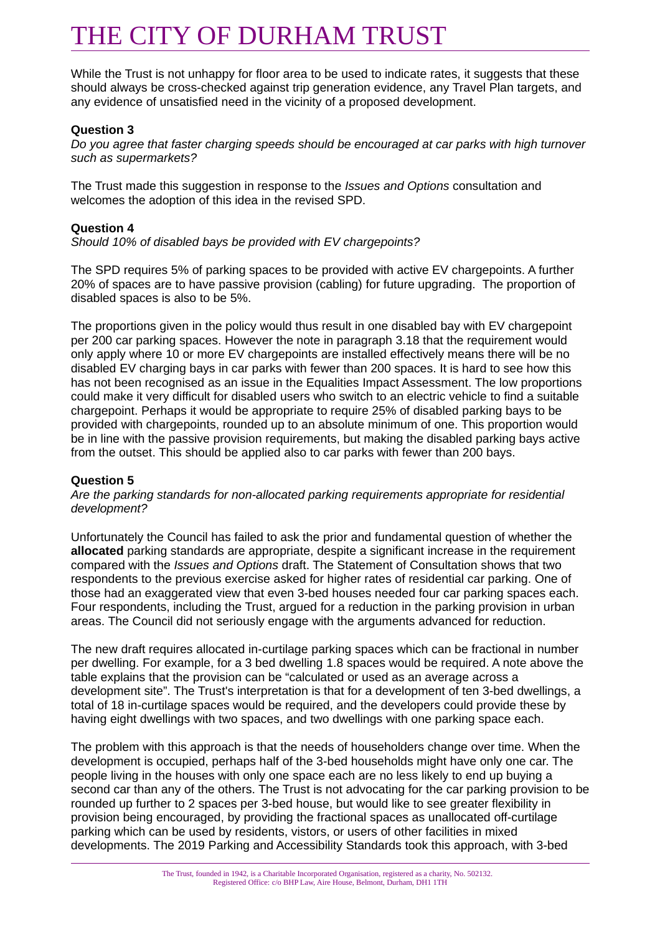While the Trust is not unhappy for floor area to be used to indicate rates, it suggests that these should always be cross-checked against trip generation evidence, any Travel Plan targets, and any evidence of unsatisfied need in the vicinity of a proposed development.

#### **Question 3**

*Do you agree that faster charging speeds should be encouraged at car parks with high turnover such as supermarkets?*

The Trust made this suggestion in response to the *Issues and Options* consultation and welcomes the adoption of this idea in the revised SPD.

#### **Question 4**

*Should 10% of disabled bays be provided with EV chargepoints?*

The SPD requires 5% of parking spaces to be provided with active EV chargepoints. A further 20% of spaces are to have passive provision (cabling) for future upgrading. The proportion of disabled spaces is also to be 5%.

The proportions given in the policy would thus result in one disabled bay with EV chargepoint per 200 car parking spaces. However the note in paragraph 3.18 that the requirement would only apply where 10 or more EV chargepoints are installed effectively means there will be no disabled EV charging bays in car parks with fewer than 200 spaces. It is hard to see how this has not been recognised as an issue in the Equalities Impact Assessment. The low proportions could make it very difficult for disabled users who switch to an electric vehicle to find a suitable chargepoint. Perhaps it would be appropriate to require 25% of disabled parking bays to be provided with chargepoints, rounded up to an absolute minimum of one. This proportion would be in line with the passive provision requirements, but making the disabled parking bays active from the outset. This should be applied also to car parks with fewer than 200 bays.

#### **Question 5**

*Are the parking standards for non-allocated parking requirements appropriate for residential development?*

Unfortunately the Council has failed to ask the prior and fundamental question of whether the **allocated** parking standards are appropriate, despite a significant increase in the requirement compared with the *Issues and Options* draft. The Statement of Consultation shows that two respondents to the previous exercise asked for higher rates of residential car parking. One of those had an exaggerated view that even 3-bed houses needed four car parking spaces each. Four respondents, including the Trust, argued for a reduction in the parking provision in urban areas. The Council did not seriously engage with the arguments advanced for reduction.

The new draft requires allocated in-curtilage parking spaces which can be fractional in number per dwelling. For example, for a 3 bed dwelling 1.8 spaces would be required. A note above the table explains that the provision can be "calculated or used as an average across a development site". The Trust's interpretation is that for a development of ten 3-bed dwellings, a total of 18 in-curtilage spaces would be required, and the developers could provide these by having eight dwellings with two spaces, and two dwellings with one parking space each.

The problem with this approach is that the needs of householders change over time. When the development is occupied, perhaps half of the 3-bed households might have only one car. The people living in the houses with only one space each are no less likely to end up buying a second car than any of the others. The Trust is not advocating for the car parking provision to be rounded up further to 2 spaces per 3-bed house, but would like to see greater flexibility in provision being encouraged, by providing the fractional spaces as unallocated off-curtilage parking which can be used by residents, vistors, or users of other facilities in mixed developments. The 2019 Parking and Accessibility Standards took this approach, with 3-bed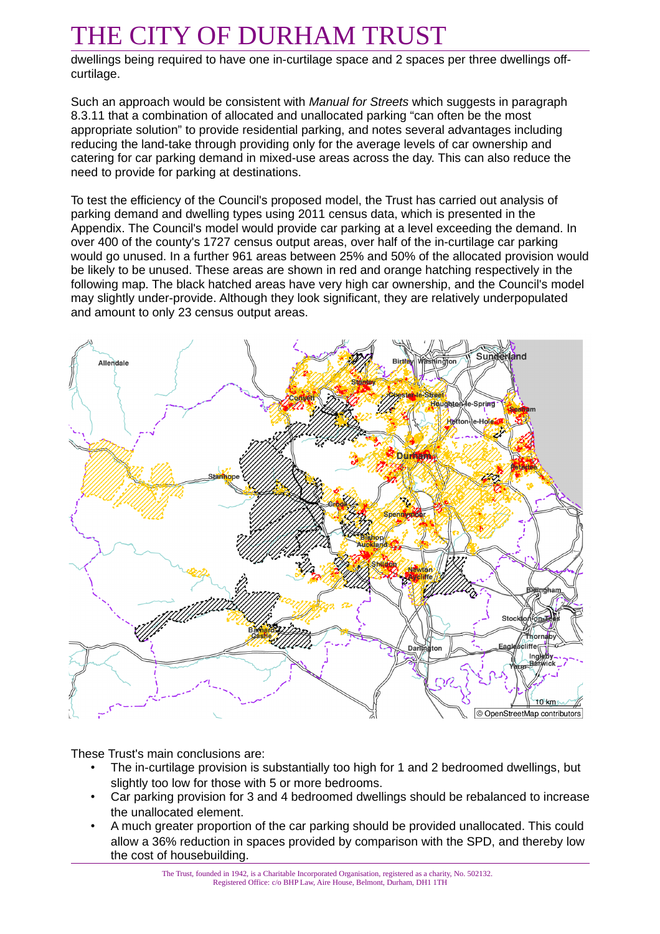dwellings being required to have one in-curtilage space and 2 spaces per three dwellings offcurtilage.

Such an approach would be consistent with *Manual for Streets* which suggests in paragraph 8.3.11 that a combination of allocated and unallocated parking "can often be the most appropriate solution" to provide residential parking, and notes several advantages including reducing the land-take through providing only for the average levels of car ownership and catering for car parking demand in mixed-use areas across the day. This can also reduce the need to provide for parking at destinations.

To test the efficiency of the Council's proposed model, the Trust has carried out analysis of parking demand and dwelling types using 2011 census data, which is presented in the Appendix. The Council's model would provide car parking at a level exceeding the demand. In over 400 of the county's 1727 census output areas, over half of the in-curtilage car parking would go unused. In a further 961 areas between 25% and 50% of the allocated provision would be likely to be unused. These areas are shown in red and orange hatching respectively in the following map. The black hatched areas have very high car ownership, and the Council's model may slightly under-provide. Although they look significant, they are relatively underpopulated and amount to only 23 census output areas.



These Trust's main conclusions are:

- The in-curtilage provision is substantially too high for 1 and 2 bedroomed dwellings, but slightly too low for those with 5 or more bedrooms.
- Car parking provision for 3 and 4 bedroomed dwellings should be rebalanced to increase the unallocated element.
- A much greater proportion of the car parking should be provided unallocated. This could allow a 36% reduction in spaces provided by comparison with the SPD, and thereby low the cost of housebuilding.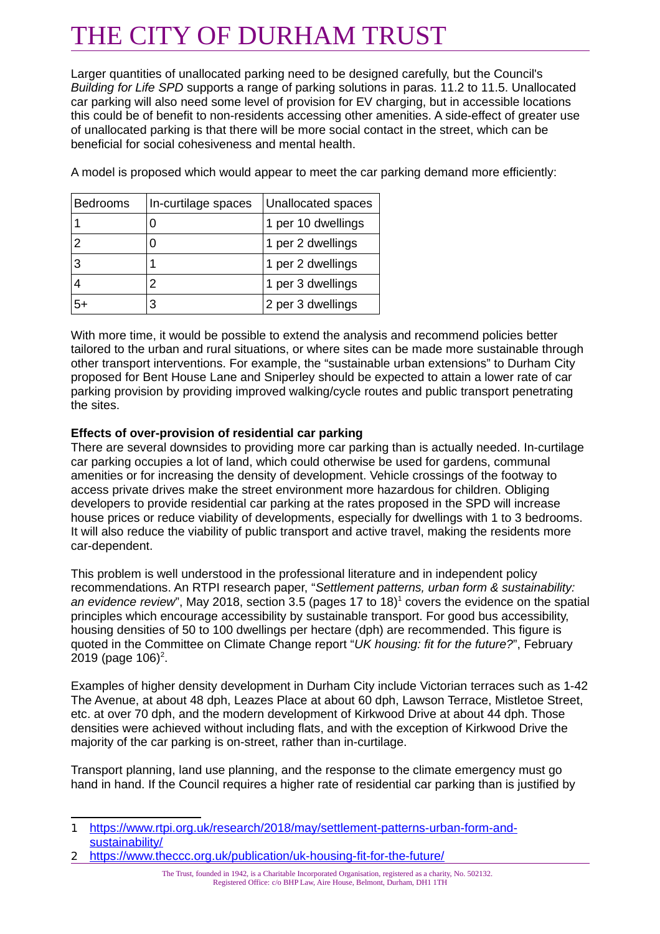Larger quantities of unallocated parking need to be designed carefully, but the Council's *Building for Life SPD* supports a range of parking solutions in paras. 11.2 to 11.5. Unallocated car parking will also need some level of provision for EV charging, but in accessible locations this could be of benefit to non-residents accessing other amenities. A side-effect of greater use of unallocated parking is that there will be more social contact in the street, which can be beneficial for social cohesiveness and mental health.

| <b>Bedrooms</b> | In-curtilage spaces | Unallocated spaces |
|-----------------|---------------------|--------------------|
|                 |                     | 1 per 10 dwellings |
|                 |                     | 1 per 2 dwellings  |
| 3               |                     | 1 per 2 dwellings  |
|                 |                     | 1 per 3 dwellings  |
| 5+              |                     | 2 per 3 dwellings  |

A model is proposed which would appear to meet the car parking demand more efficiently:

With more time, it would be possible to extend the analysis and recommend policies better tailored to the urban and rural situations, or where sites can be made more sustainable through other transport interventions. For example, the "sustainable urban extensions" to Durham City proposed for Bent House Lane and Sniperley should be expected to attain a lower rate of car parking provision by providing improved walking/cycle routes and public transport penetrating the sites.

#### **Effects of over-provision of residential car parking**

There are several downsides to providing more car parking than is actually needed. In-curtilage car parking occupies a lot of land, which could otherwise be used for gardens, communal amenities or for increasing the density of development. Vehicle crossings of the footway to access private drives make the street environment more hazardous for children. Obliging developers to provide residential car parking at the rates proposed in the SPD will increase house prices or reduce viability of developments, especially for dwellings with 1 to 3 bedrooms. It will also reduce the viability of public transport and active travel, making the residents more car-dependent.

This problem is well understood in the professional literature and in independent policy recommendations. An RTPI research paper, "*Settlement patterns, urban form & sustainability:*  an evidence review", May 20[1](#page-3-0)8, section 3.5 (pages 17 to 18)<sup>1</sup> covers the evidence on the spatial principles which encourage accessibility by sustainable transport. For good bus accessibility, housing densities of 50 to 100 dwellings per hectare (dph) are recommended. This figure is quoted in the Committee on Climate Change report "*UK housing: fit for the future?*", February [2](#page-3-1)019 (page 106)<sup>2</sup>.

Examples of higher density development in Durham City include Victorian terraces such as 1-42 The Avenue, at about 48 dph, Leazes Place at about 60 dph, Lawson Terrace, Mistletoe Street, etc. at over 70 dph, and the modern development of Kirkwood Drive at about 44 dph. Those densities were achieved without including flats, and with the exception of Kirkwood Drive the majority of the car parking is on-street, rather than in-curtilage.

Transport planning, land use planning, and the response to the climate emergency must go hand in hand. If the Council requires a higher rate of residential car parking than is justified by

<span id="page-3-1"></span>2 <https://www.theccc.org.uk/publication/uk-housing-fit-for-the-future/>

The Trust, founded in 1942, is a Charitable Incorporated Organisation, registered as a charity, No. 502132. Registered Office: c/o BHP Law, Aire House, Belmont, Durham, DH1 1TH

<span id="page-3-0"></span><sup>1</sup> [https://www.rtpi.org.uk/research/2018/may/settlement-patterns-urban-form-and](https://www.rtpi.org.uk/research/2018/may/settlement-patterns-urban-form-and-sustainability/)[sustainability/](https://www.rtpi.org.uk/research/2018/may/settlement-patterns-urban-form-and-sustainability/)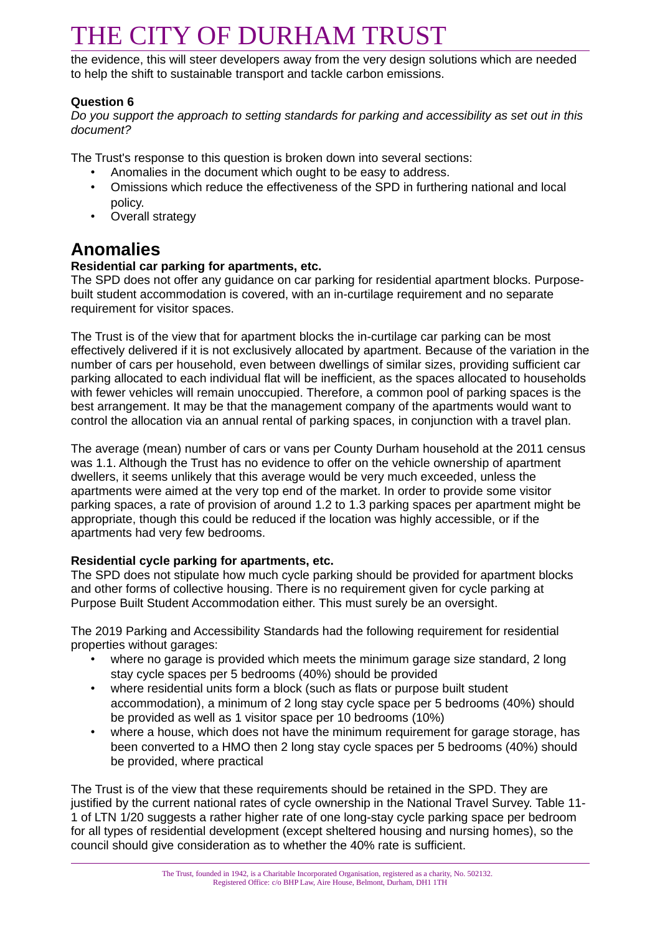the evidence, this will steer developers away from the very design solutions which are needed to help the shift to sustainable transport and tackle carbon emissions.

#### **Question 6**

*Do you support the approach to setting standards for parking and accessibility as set out in this document?*

The Trust's response to this question is broken down into several sections:

- Anomalies in the document which ought to be easy to address.
- Omissions which reduce the effectiveness of the SPD in furthering national and local policy.
- Overall strategy

### **Anomalies**

#### **Residential car parking for apartments, etc.**

The SPD does not offer any guidance on car parking for residential apartment blocks. Purposebuilt student accommodation is covered, with an in-curtilage requirement and no separate requirement for visitor spaces.

The Trust is of the view that for apartment blocks the in-curtilage car parking can be most effectively delivered if it is not exclusively allocated by apartment. Because of the variation in the number of cars per household, even between dwellings of similar sizes, providing sufficient car parking allocated to each individual flat will be inefficient, as the spaces allocated to households with fewer vehicles will remain unoccupied. Therefore, a common pool of parking spaces is the best arrangement. It may be that the management company of the apartments would want to control the allocation via an annual rental of parking spaces, in conjunction with a travel plan.

The average (mean) number of cars or vans per County Durham household at the 2011 census was 1.1. Although the Trust has no evidence to offer on the vehicle ownership of apartment dwellers, it seems unlikely that this average would be very much exceeded, unless the apartments were aimed at the very top end of the market. In order to provide some visitor parking spaces, a rate of provision of around 1.2 to 1.3 parking spaces per apartment might be appropriate, though this could be reduced if the location was highly accessible, or if the apartments had very few bedrooms.

#### **Residential cycle parking for apartments, etc.**

The SPD does not stipulate how much cycle parking should be provided for apartment blocks and other forms of collective housing. There is no requirement given for cycle parking at Purpose Built Student Accommodation either. This must surely be an oversight.

The 2019 Parking and Accessibility Standards had the following requirement for residential properties without garages:

- where no garage is provided which meets the minimum garage size standard, 2 long stay cycle spaces per 5 bedrooms (40%) should be provided
- where residential units form a block (such as flats or purpose built student accommodation), a minimum of 2 long stay cycle space per 5 bedrooms (40%) should be provided as well as 1 visitor space per 10 bedrooms (10%)
- where a house, which does not have the minimum requirement for garage storage, has been converted to a HMO then 2 long stay cycle spaces per 5 bedrooms (40%) should be provided, where practical

The Trust is of the view that these requirements should be retained in the SPD. They are justified by the current national rates of cycle ownership in the National Travel Survey. Table 11- 1 of LTN 1/20 suggests a rather higher rate of one long-stay cycle parking space per bedroom for all types of residential development (except sheltered housing and nursing homes), so the council should give consideration as to whether the 40% rate is sufficient.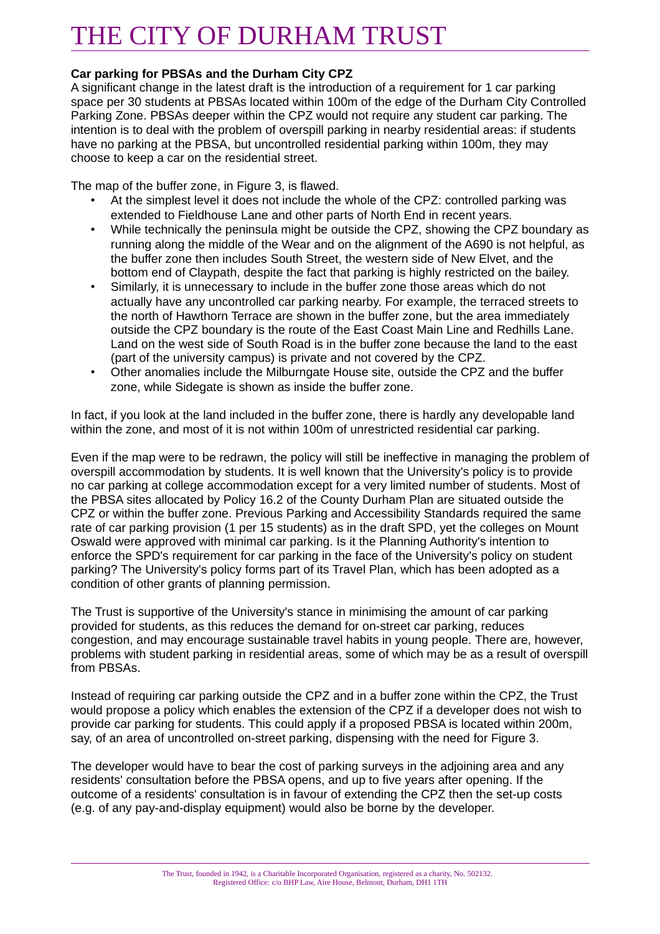#### **Car parking for PBSAs and the Durham City CPZ**

A significant change in the latest draft is the introduction of a requirement for 1 car parking space per 30 students at PBSAs located within 100m of the edge of the Durham City Controlled Parking Zone. PBSAs deeper within the CPZ would not require any student car parking. The intention is to deal with the problem of overspill parking in nearby residential areas: if students have no parking at the PBSA, but uncontrolled residential parking within 100m, they may choose to keep a car on the residential street.

The map of the buffer zone, in Figure 3, is flawed.

- At the simplest level it does not include the whole of the CPZ: controlled parking was extended to Fieldhouse Lane and other parts of North End in recent years.
- While technically the peninsula might be outside the CPZ, showing the CPZ boundary as running along the middle of the Wear and on the alignment of the A690 is not helpful, as the buffer zone then includes South Street, the western side of New Elvet, and the bottom end of Claypath, despite the fact that parking is highly restricted on the bailey.
- Similarly, it is unnecessary to include in the buffer zone those areas which do not actually have any uncontrolled car parking nearby. For example, the terraced streets to the north of Hawthorn Terrace are shown in the buffer zone, but the area immediately outside the CPZ boundary is the route of the East Coast Main Line and Redhills Lane. Land on the west side of South Road is in the buffer zone because the land to the east (part of the university campus) is private and not covered by the CPZ.
- Other anomalies include the Milburngate House site, outside the CPZ and the buffer zone, while Sidegate is shown as inside the buffer zone.

In fact, if you look at the land included in the buffer zone, there is hardly any developable land within the zone, and most of it is not within 100m of unrestricted residential car parking.

Even if the map were to be redrawn, the policy will still be ineffective in managing the problem of overspill accommodation by students. It is well known that the University's policy is to provide no car parking at college accommodation except for a very limited number of students. Most of the PBSA sites allocated by Policy 16.2 of the County Durham Plan are situated outside the CPZ or within the buffer zone. Previous Parking and Accessibility Standards required the same rate of car parking provision (1 per 15 students) as in the draft SPD, yet the colleges on Mount Oswald were approved with minimal car parking. Is it the Planning Authority's intention to enforce the SPD's requirement for car parking in the face of the University's policy on student parking? The University's policy forms part of its Travel Plan, which has been adopted as a condition of other grants of planning permission.

The Trust is supportive of the University's stance in minimising the amount of car parking provided for students, as this reduces the demand for on-street car parking, reduces congestion, and may encourage sustainable travel habits in young people. There are, however, problems with student parking in residential areas, some of which may be as a result of overspill from PBSAs.

Instead of requiring car parking outside the CPZ and in a buffer zone within the CPZ, the Trust would propose a policy which enables the extension of the CPZ if a developer does not wish to provide car parking for students. This could apply if a proposed PBSA is located within 200m, say, of an area of uncontrolled on-street parking, dispensing with the need for Figure 3.

The developer would have to bear the cost of parking surveys in the adjoining area and any residents' consultation before the PBSA opens, and up to five years after opening. If the outcome of a residents' consultation is in favour of extending the CPZ then the set-up costs (e.g. of any pay-and-display equipment) would also be borne by the developer.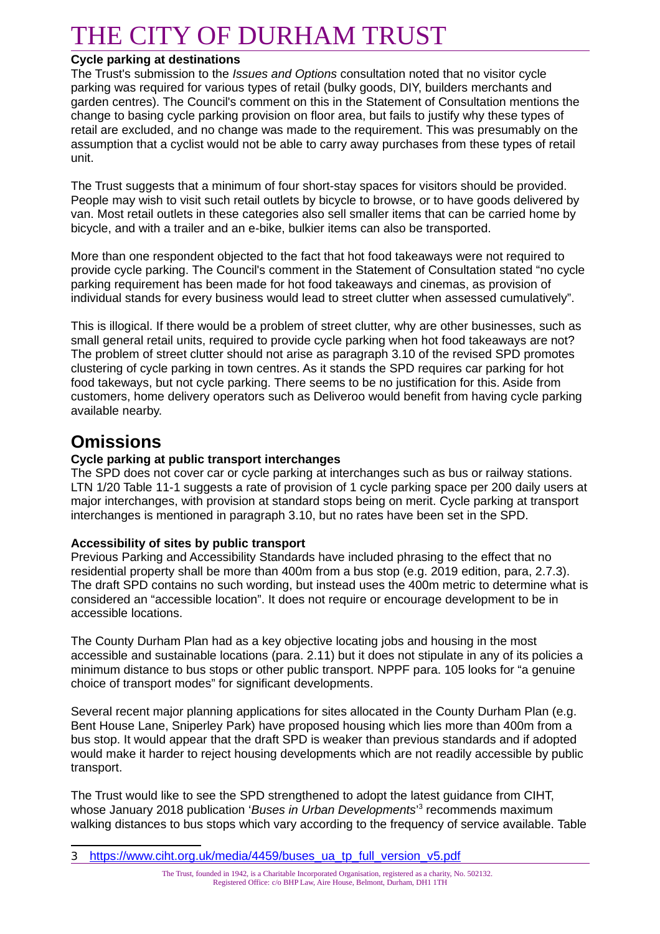#### **Cycle parking at destinations**

The Trust's submission to the *Issues and Options* consultation noted that no visitor cycle parking was required for various types of retail (bulky goods, DIY, builders merchants and garden centres). The Council's comment on this in the Statement of Consultation mentions the change to basing cycle parking provision on floor area, but fails to justify why these types of retail are excluded, and no change was made to the requirement. This was presumably on the assumption that a cyclist would not be able to carry away purchases from these types of retail unit.

The Trust suggests that a minimum of four short-stay spaces for visitors should be provided. People may wish to visit such retail outlets by bicycle to browse, or to have goods delivered by van. Most retail outlets in these categories also sell smaller items that can be carried home by bicycle, and with a trailer and an e-bike, bulkier items can also be transported.

More than one respondent objected to the fact that hot food takeaways were not required to provide cycle parking. The Council's comment in the Statement of Consultation stated "no cycle parking requirement has been made for hot food takeaways and cinemas, as provision of individual stands for every business would lead to street clutter when assessed cumulatively".

This is illogical. If there would be a problem of street clutter, why are other businesses, such as small general retail units, required to provide cycle parking when hot food takeaways are not? The problem of street clutter should not arise as paragraph 3.10 of the revised SPD promotes clustering of cycle parking in town centres. As it stands the SPD requires car parking for hot food takeways, but not cycle parking. There seems to be no justification for this. Aside from customers, home delivery operators such as Deliveroo would benefit from having cycle parking available nearby.

### **Omissions**

#### **Cycle parking at public transport interchanges**

The SPD does not cover car or cycle parking at interchanges such as bus or railway stations. LTN 1/20 Table 11-1 suggests a rate of provision of 1 cycle parking space per 200 daily users at major interchanges, with provision at standard stops being on merit. Cycle parking at transport interchanges is mentioned in paragraph 3.10, but no rates have been set in the SPD.

#### **Accessibility of sites by public transport**

Previous Parking and Accessibility Standards have included phrasing to the effect that no residential property shall be more than 400m from a bus stop (e.g. 2019 edition, para, 2.7.3). The draft SPD contains no such wording, but instead uses the 400m metric to determine what is considered an "accessible location". It does not require or encourage development to be in accessible locations.

The County Durham Plan had as a key objective locating jobs and housing in the most accessible and sustainable locations (para. 2.11) but it does not stipulate in any of its policies a minimum distance to bus stops or other public transport. NPPF para. 105 looks for "a genuine choice of transport modes" for significant developments.

Several recent major planning applications for sites allocated in the County Durham Plan (e.g. Bent House Lane, Sniperley Park) have proposed housing which lies more than 400m from a bus stop. It would appear that the draft SPD is weaker than previous standards and if adopted would make it harder to reject housing developments which are not readily accessible by public transport.

The Trust would like to see the SPD strengthened to adopt the latest guidance from CIHT, whose January 2018 publication 'Buses in Urban Developments'<sup>[3](#page-6-0)</sup> recommends maximum walking distances to bus stops which vary according to the frequency of service available. Table

<span id="page-6-0"></span><sup>3</sup> [https://www.ciht.org.uk/media/4459/buses\\_ua\\_tp\\_full\\_version\\_v5.pdf](https://www.ciht.org.uk/media/4459/buses_ua_tp_full_version_v5.pdf)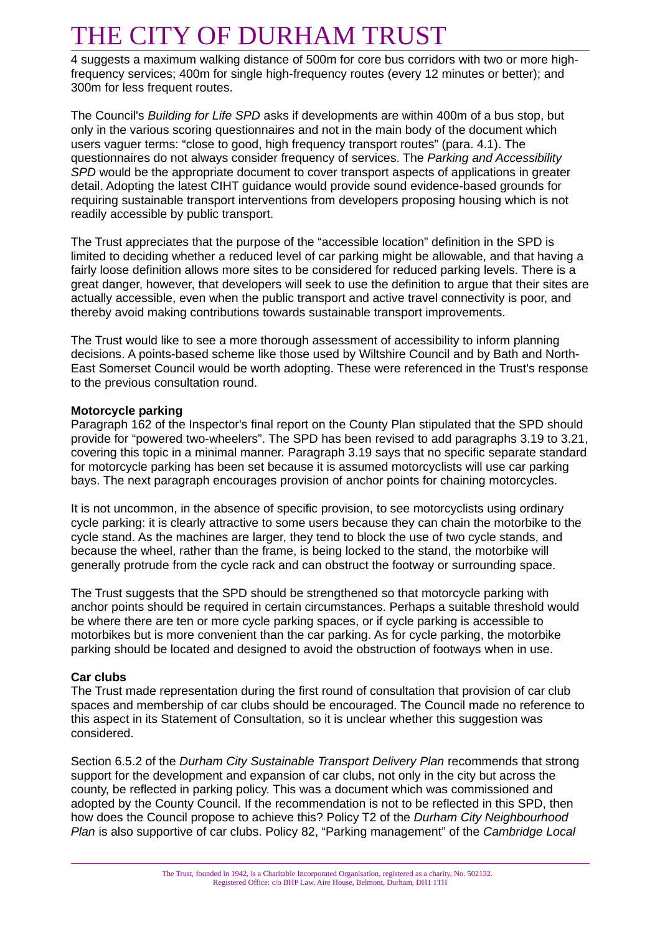4 suggests a maximum walking distance of 500m for core bus corridors with two or more highfrequency services; 400m for single high-frequency routes (every 12 minutes or better); and 300m for less frequent routes.

The Council's *Building for Life SPD* asks if developments are within 400m of a bus stop, but only in the various scoring questionnaires and not in the main body of the document which users vaguer terms: "close to good, high frequency transport routes" (para. 4.1). The questionnaires do not always consider frequency of services. The *Parking and Accessibility SPD* would be the appropriate document to cover transport aspects of applications in greater detail. Adopting the latest CIHT guidance would provide sound evidence-based grounds for requiring sustainable transport interventions from developers proposing housing which is not readily accessible by public transport.

The Trust appreciates that the purpose of the "accessible location" definition in the SPD is limited to deciding whether a reduced level of car parking might be allowable, and that having a fairly loose definition allows more sites to be considered for reduced parking levels. There is a great danger, however, that developers will seek to use the definition to argue that their sites are actually accessible, even when the public transport and active travel connectivity is poor, and thereby avoid making contributions towards sustainable transport improvements.

The Trust would like to see a more thorough assessment of accessibility to inform planning decisions. A points-based scheme like those used by Wiltshire Council and by Bath and North-East Somerset Council would be worth adopting. These were referenced in the Trust's response to the previous consultation round.

#### **Motorcycle parking**

Paragraph 162 of the Inspector's final report on the County Plan stipulated that the SPD should provide for "powered two-wheelers". The SPD has been revised to add paragraphs 3.19 to 3.21, covering this topic in a minimal manner. Paragraph 3.19 says that no specific separate standard for motorcycle parking has been set because it is assumed motorcyclists will use car parking bays. The next paragraph encourages provision of anchor points for chaining motorcycles.

It is not uncommon, in the absence of specific provision, to see motorcyclists using ordinary cycle parking: it is clearly attractive to some users because they can chain the motorbike to the cycle stand. As the machines are larger, they tend to block the use of two cycle stands, and because the wheel, rather than the frame, is being locked to the stand, the motorbike will generally protrude from the cycle rack and can obstruct the footway or surrounding space.

The Trust suggests that the SPD should be strengthened so that motorcycle parking with anchor points should be required in certain circumstances. Perhaps a suitable threshold would be where there are ten or more cycle parking spaces, or if cycle parking is accessible to motorbikes but is more convenient than the car parking. As for cycle parking, the motorbike parking should be located and designed to avoid the obstruction of footways when in use.

#### **Car clubs**

The Trust made representation during the first round of consultation that provision of car club spaces and membership of car clubs should be encouraged. The Council made no reference to this aspect in its Statement of Consultation, so it is unclear whether this suggestion was considered.

Section 6.5.2 of the *Durham City Sustainable Transport Delivery Plan* recommends that strong support for the development and expansion of car clubs, not only in the city but across the county, be reflected in parking policy. This was a document which was commissioned and adopted by the County Council. If the recommendation is not to be reflected in this SPD, then how does the Council propose to achieve this? Policy T2 of the *Durham City Neighbourhood Plan* is also supportive of car clubs. Policy 82, "Parking management" of the *Cambridge Local*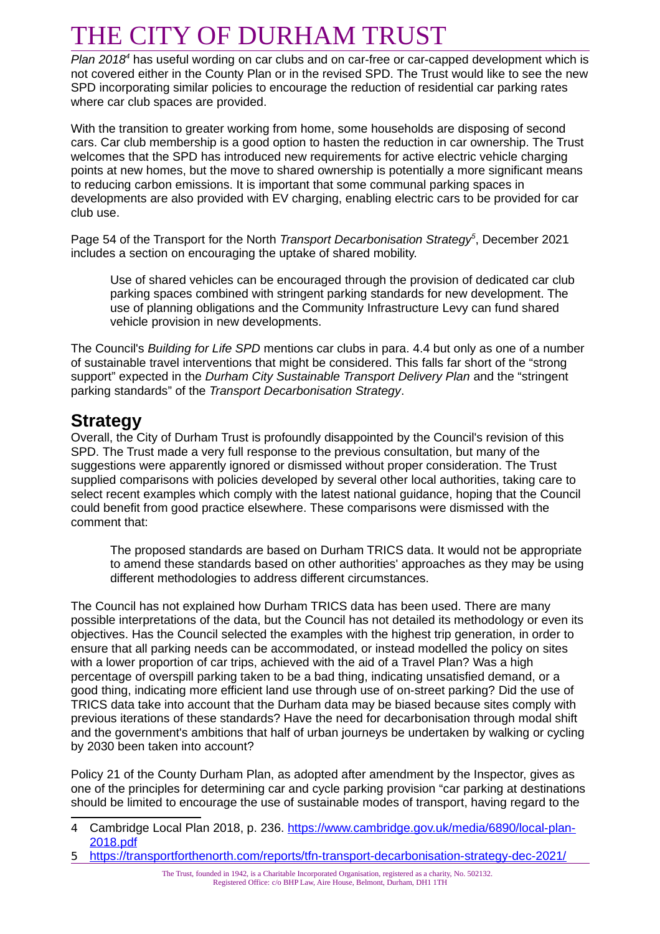Plan 2018<sup>[4](#page-8-0)</sup> has useful wording on car clubs and on car-free or car-capped development which is not covered either in the County Plan or in the revised SPD. The Trust would like to see the new SPD incorporating similar policies to encourage the reduction of residential car parking rates where car club spaces are provided.

With the transition to greater working from home, some households are disposing of second cars. Car club membership is a good option to hasten the reduction in car ownership. The Trust welcomes that the SPD has introduced new requirements for active electric vehicle charging points at new homes, but the move to shared ownership is potentially a more significant means to reducing carbon emissions. It is important that some communal parking spaces in developments are also provided with EV charging, enabling electric cars to be provided for car club use.

Page 54 of the Transport for the North *Transport Decarbonisation Strategy[5](#page-8-1)* , December 2021 includes a section on encouraging the uptake of shared mobility.

Use of shared vehicles can be encouraged through the provision of dedicated car club parking spaces combined with stringent parking standards for new development. The use of planning obligations and the Community Infrastructure Levy can fund shared vehicle provision in new developments.

The Council's *Building for Life SPD* mentions car clubs in para. 4.4 but only as one of a number of sustainable travel interventions that might be considered. This falls far short of the "strong support" expected in the *Durham City Sustainable Transport Delivery Plan* and the "stringent parking standards" of the *Transport Decarbonisation Strategy*.

### **Strategy**

Overall, the City of Durham Trust is profoundly disappointed by the Council's revision of this SPD. The Trust made a very full response to the previous consultation, but many of the suggestions were apparently ignored or dismissed without proper consideration. The Trust supplied comparisons with policies developed by several other local authorities, taking care to select recent examples which comply with the latest national guidance, hoping that the Council could benefit from good practice elsewhere. These comparisons were dismissed with the comment that:

The proposed standards are based on Durham TRICS data. It would not be appropriate to amend these standards based on other authorities' approaches as they may be using different methodologies to address different circumstances.

The Council has not explained how Durham TRICS data has been used. There are many possible interpretations of the data, but the Council has not detailed its methodology or even its objectives. Has the Council selected the examples with the highest trip generation, in order to ensure that all parking needs can be accommodated, or instead modelled the policy on sites with a lower proportion of car trips, achieved with the aid of a Travel Plan? Was a high percentage of overspill parking taken to be a bad thing, indicating unsatisfied demand, or a good thing, indicating more efficient land use through use of on-street parking? Did the use of TRICS data take into account that the Durham data may be biased because sites comply with previous iterations of these standards? Have the need for decarbonisation through modal shift and the government's ambitions that half of urban journeys be undertaken by walking or cycling by 2030 been taken into account?

Policy 21 of the County Durham Plan, as adopted after amendment by the Inspector, gives as one of the principles for determining car and cycle parking provision "car parking at destinations should be limited to encourage the use of sustainable modes of transport, having regard to the

<span id="page-8-0"></span><sup>4</sup> Cambridge Local Plan 2018, p. 236. [https://www.cambridge.gov.uk/media/6890/local-plan-](https://www.cambridge.gov.uk/media/6890/local-plan-2018.pdf)[2018.pdf](https://www.cambridge.gov.uk/media/6890/local-plan-2018.pdf)

<span id="page-8-1"></span><sup>5</sup> <https://transportforthenorth.com/reports/tfn-transport-decarbonisation-strategy-dec-2021/>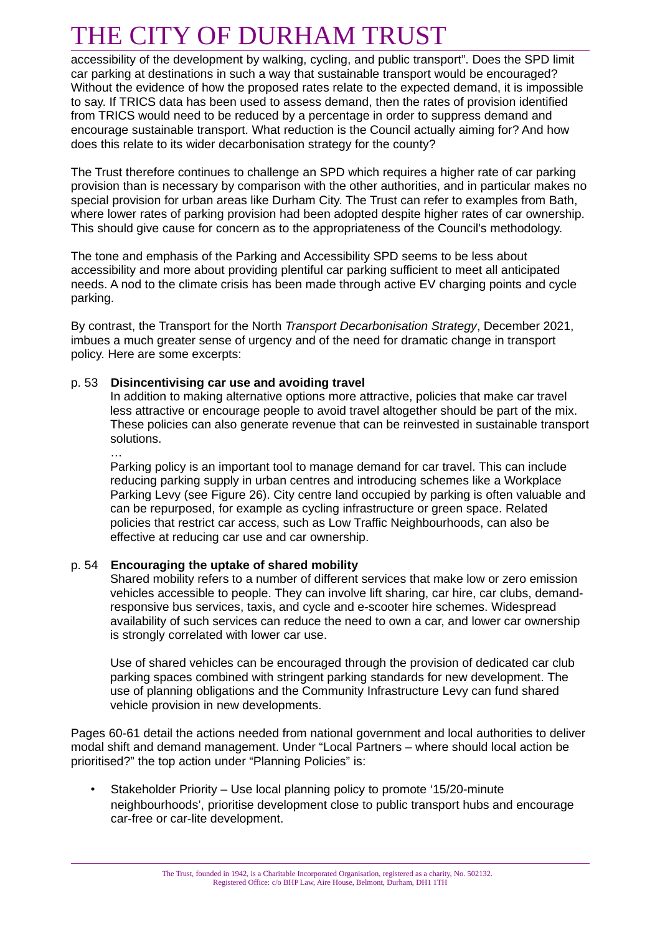accessibility of the development by walking, cycling, and public transport". Does the SPD limit car parking at destinations in such a way that sustainable transport would be encouraged? Without the evidence of how the proposed rates relate to the expected demand, it is impossible to say. If TRICS data has been used to assess demand, then the rates of provision identified from TRICS would need to be reduced by a percentage in order to suppress demand and encourage sustainable transport. What reduction is the Council actually aiming for? And how does this relate to its wider decarbonisation strategy for the county?

The Trust therefore continues to challenge an SPD which requires a higher rate of car parking provision than is necessary by comparison with the other authorities, and in particular makes no special provision for urban areas like Durham City. The Trust can refer to examples from Bath, where lower rates of parking provision had been adopted despite higher rates of car ownership. This should give cause for concern as to the appropriateness of the Council's methodology.

The tone and emphasis of the Parking and Accessibility SPD seems to be less about accessibility and more about providing plentiful car parking sufficient to meet all anticipated needs. A nod to the climate crisis has been made through active EV charging points and cycle parking.

By contrast, the Transport for the North *Transport Decarbonisation Strategy*, December 2021, imbues a much greater sense of urgency and of the need for dramatic change in transport policy. Here are some excerpts:

#### p. 53 **Disincentivising car use and avoiding travel**

…

In addition to making alternative options more attractive, policies that make car travel less attractive or encourage people to avoid travel altogether should be part of the mix. These policies can also generate revenue that can be reinvested in sustainable transport solutions.

Parking policy is an important tool to manage demand for car travel. This can include reducing parking supply in urban centres and introducing schemes like a Workplace Parking Levy (see Figure 26). City centre land occupied by parking is often valuable and can be repurposed, for example as cycling infrastructure or green space. Related policies that restrict car access, such as Low Traffic Neighbourhoods, can also be effective at reducing car use and car ownership.

#### p. 54 **Encouraging the uptake of shared mobility**

Shared mobility refers to a number of different services that make low or zero emission vehicles accessible to people. They can involve lift sharing, car hire, car clubs, demandresponsive bus services, taxis, and cycle and e-scooter hire schemes. Widespread availability of such services can reduce the need to own a car, and lower car ownership is strongly correlated with lower car use.

Use of shared vehicles can be encouraged through the provision of dedicated car club parking spaces combined with stringent parking standards for new development. The use of planning obligations and the Community Infrastructure Levy can fund shared vehicle provision in new developments.

Pages 60-61 detail the actions needed from national government and local authorities to deliver modal shift and demand management. Under "Local Partners – where should local action be prioritised?" the top action under "Planning Policies" is:

• Stakeholder Priority – Use local planning policy to promote '15/20-minute neighbourhoods', prioritise development close to public transport hubs and encourage car-free or car-lite development.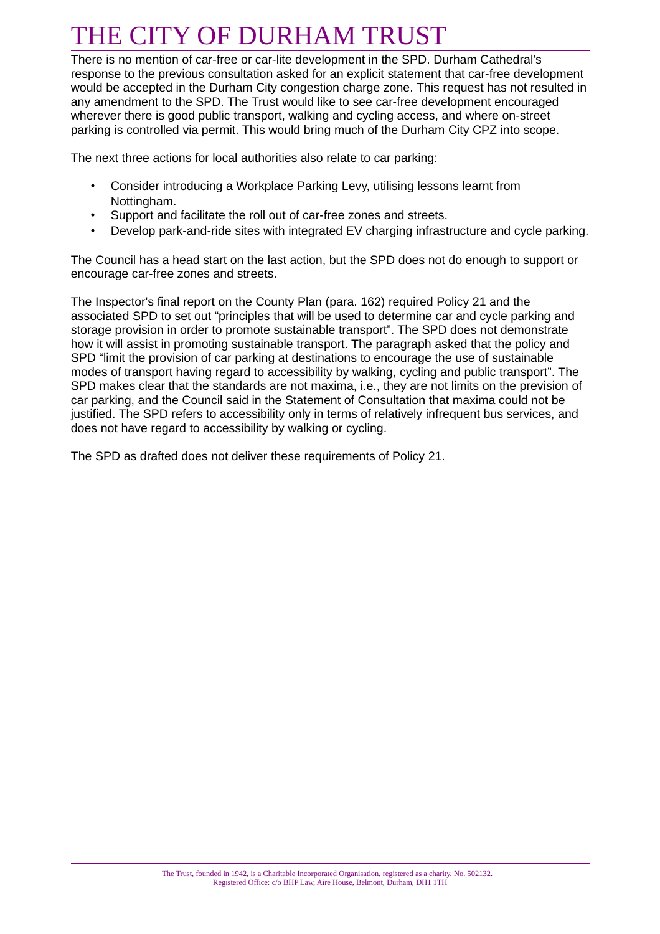There is no mention of car-free or car-lite development in the SPD. Durham Cathedral's response to the previous consultation asked for an explicit statement that car-free development would be accepted in the Durham City congestion charge zone. This request has not resulted in any amendment to the SPD. The Trust would like to see car-free development encouraged wherever there is good public transport, walking and cycling access, and where on-street parking is controlled via permit. This would bring much of the Durham City CPZ into scope.

The next three actions for local authorities also relate to car parking:

- Consider introducing a Workplace Parking Levy, utilising lessons learnt from Nottingham.
- Support and facilitate the roll out of car-free zones and streets.
- Develop park-and-ride sites with integrated EV charging infrastructure and cycle parking.

The Council has a head start on the last action, but the SPD does not do enough to support or encourage car-free zones and streets.

The Inspector's final report on the County Plan (para. 162) required Policy 21 and the associated SPD to set out "principles that will be used to determine car and cycle parking and storage provision in order to promote sustainable transport". The SPD does not demonstrate how it will assist in promoting sustainable transport. The paragraph asked that the policy and SPD "limit the provision of car parking at destinations to encourage the use of sustainable modes of transport having regard to accessibility by walking, cycling and public transport". The SPD makes clear that the standards are not maxima, i.e., they are not limits on the prevision of car parking, and the Council said in the Statement of Consultation that maxima could not be justified. The SPD refers to accessibility only in terms of relatively infrequent bus services, and does not have regard to accessibility by walking or cycling.

The SPD as drafted does not deliver these requirements of Policy 21.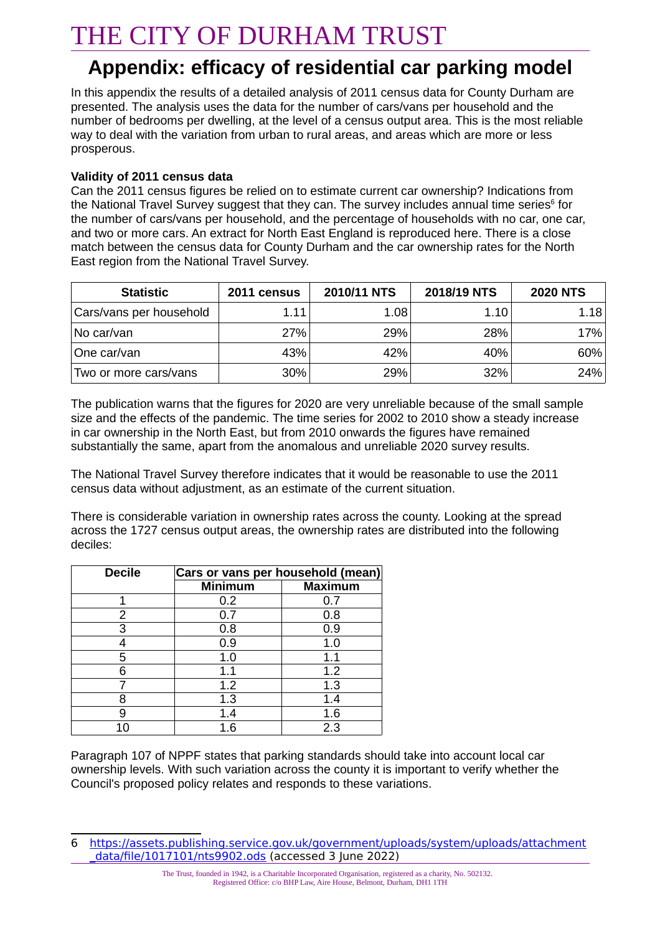### **Appendix: efficacy of residential car parking model**

In this appendix the results of a detailed analysis of 2011 census data for County Durham are presented. The analysis uses the data for the number of cars/vans per household and the number of bedrooms per dwelling, at the level of a census output area. This is the most reliable way to deal with the variation from urban to rural areas, and areas which are more or less prosperous.

#### **Validity of 2011 census data**

Can the 2011 census figures be relied on to estimate current car ownership? Indications from the National Travel Survey suggest that they can. The survey includes annual time series $^6$  $^6$  for the number of cars/vans per household, and the percentage of households with no car, one car, and two or more cars. An extract for North East England is reproduced here. There is a close match between the census data for County Durham and the car ownership rates for the North East region from the National Travel Survey.

| <b>Statistic</b>        | 2011 census | <b>2010/11 NTS</b> | 2018/19 NTS | <b>2020 NTS</b> |
|-------------------------|-------------|--------------------|-------------|-----------------|
| Cars/vans per household | 1.11        | 1.08               | 1.10        | 1.18            |
| No car/van              | 27%         | 29%                | 28%         | 17%             |
| One car/van             | 43%         | 42%                | 40%         | 60%             |
| Two or more cars/vans   | 30%         | 29%                | 32%         | 24%             |

The publication warns that the figures for 2020 are very unreliable because of the small sample size and the effects of the pandemic. The time series for 2002 to 2010 show a steady increase in car ownership in the North East, but from 2010 onwards the figures have remained substantially the same, apart from the anomalous and unreliable 2020 survey results.

The National Travel Survey therefore indicates that it would be reasonable to use the 2011 census data without adjustment, as an estimate of the current situation.

There is considerable variation in ownership rates across the county. Looking at the spread across the 1727 census output areas, the ownership rates are distributed into the following deciles:

| <b>Decile</b> | Cars or vans per household (mean) |                |  |  |  |
|---------------|-----------------------------------|----------------|--|--|--|
|               | <b>Minimum</b>                    | <b>Maximum</b> |  |  |  |
| 1             | 0.2                               | 0.7            |  |  |  |
| 2             | 0.7                               | 0.8            |  |  |  |
| 3             | 0.8                               | 0.9            |  |  |  |
|               | 0.9                               | 1.0            |  |  |  |
| 5             | 1.0                               | 1.1            |  |  |  |
| հ             | 1.1                               | 1.2            |  |  |  |
|               | 1.2                               | 1.3            |  |  |  |
| 8             | 1.3                               | 1.4            |  |  |  |
| q             | 1.4                               | 1.6            |  |  |  |
| 10            | 1.6                               | 2.3            |  |  |  |

Paragraph 107 of NPPF states that parking standards should take into account local car ownership levels. With such variation across the county it is important to verify whether the Council's proposed policy relates and responds to these variations.

<span id="page-11-0"></span><sup>6</sup> [https://assets.publishing.service.gov.uk/government/uploads/system/uploads/attachment](https://assets.publishing.service.gov.uk/government/uploads/system/uploads/attachment_data/file/1017101/nts9902.ods) [\\_data/file/1017101/nts9902.ods](https://assets.publishing.service.gov.uk/government/uploads/system/uploads/attachment_data/file/1017101/nts9902.ods) (accessed 3 June 2022)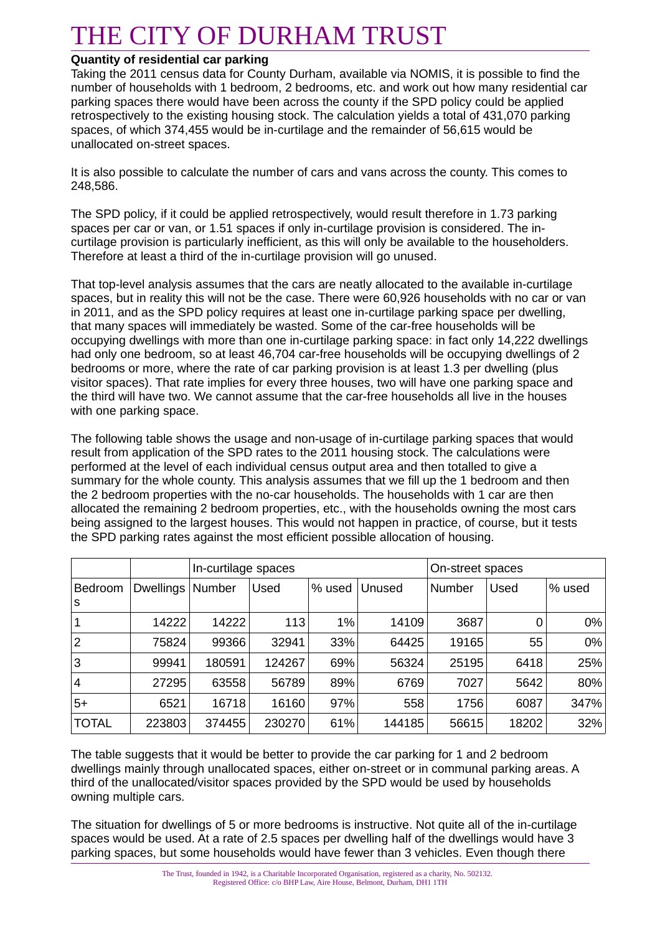#### **Quantity of residential car parking**

Taking the 2011 census data for County Durham, available via NOMIS, it is possible to find the number of households with 1 bedroom, 2 bedrooms, etc. and work out how many residential car parking spaces there would have been across the county if the SPD policy could be applied retrospectively to the existing housing stock. The calculation yields a total of 431,070 parking spaces, of which 374,455 would be in-curtilage and the remainder of 56,615 would be unallocated on-street spaces.

It is also possible to calculate the number of cars and vans across the county. This comes to 248,586.

The SPD policy, if it could be applied retrospectively, would result therefore in 1.73 parking spaces per car or van, or 1.51 spaces if only in-curtilage provision is considered. The incurtilage provision is particularly inefficient, as this will only be available to the householders. Therefore at least a third of the in-curtilage provision will go unused.

That top-level analysis assumes that the cars are neatly allocated to the available in-curtilage spaces, but in reality this will not be the case. There were 60,926 households with no car or van in 2011, and as the SPD policy requires at least one in-curtilage parking space per dwelling, that many spaces will immediately be wasted. Some of the car-free households will be occupying dwellings with more than one in-curtilage parking space: in fact only 14,222 dwellings had only one bedroom, so at least 46,704 car-free households will be occupying dwellings of 2 bedrooms or more, where the rate of car parking provision is at least 1.3 per dwelling (plus visitor spaces). That rate implies for every three houses, two will have one parking space and the third will have two. We cannot assume that the car-free households all live in the houses with one parking space.

The following table shows the usage and non-usage of in-curtilage parking spaces that would result from application of the SPD rates to the 2011 housing stock. The calculations were performed at the level of each individual census output area and then totalled to give a summary for the whole county. This analysis assumes that we fill up the 1 bedroom and then the 2 bedroom properties with the no-car households. The households with 1 car are then allocated the remaining 2 bedroom properties, etc., with the households owning the most cars being assigned to the largest houses. This would not happen in practice, of course, but it tests the SPD parking rates against the most efficient possible allocation of housing.

|                |                  |        | In-curtilage spaces |        |        |               | On-street spaces |        |
|----------------|------------------|--------|---------------------|--------|--------|---------------|------------------|--------|
| Bedroom<br>S   | <b>Dwellings</b> | Number | Used                | % used | Unused | <b>Number</b> | Used             | % used |
|                | 14222            | 14222  | 113                 | 1%     | 14109  | 3687          |                  | $0\%$  |
| $\overline{2}$ | 75824            | 99366  | 32941               | 33%    | 64425  | 19165         | 55               | 0%     |
| 3              | 99941            | 180591 | 124267              | 69%    | 56324  | 25195         | 6418             | 25%    |
| $\overline{4}$ | 27295            | 63558  | 56789               | 89%    | 6769   | 7027          | 5642             | 80%    |
| $5+$           | 6521             | 16718  | 16160               | 97%    | 558    | 1756          | 6087             | 347%   |
| <b>TOTAL</b>   | 223803           | 374455 | 230270              | 61%    | 144185 | 56615         | 18202            | 32%    |

The table suggests that it would be better to provide the car parking for 1 and 2 bedroom dwellings mainly through unallocated spaces, either on-street or in communal parking areas. A third of the unallocated/visitor spaces provided by the SPD would be used by households owning multiple cars.

The situation for dwellings of 5 or more bedrooms is instructive. Not quite all of the in-curtilage spaces would be used. At a rate of 2.5 spaces per dwelling half of the dwellings would have 3 parking spaces, but some households would have fewer than 3 vehicles. Even though there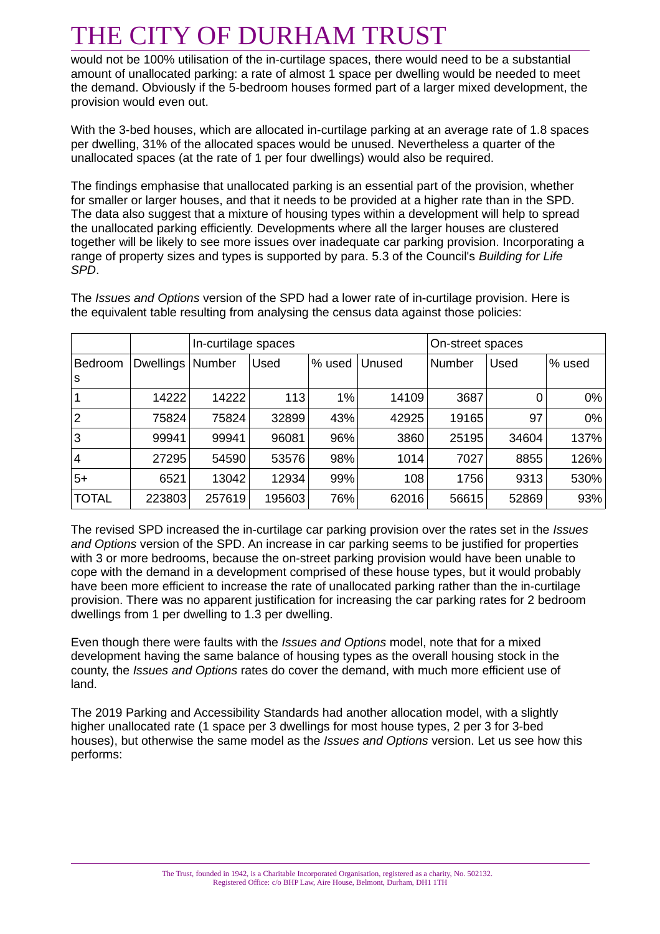would not be 100% utilisation of the in-curtilage spaces, there would need to be a substantial amount of unallocated parking: a rate of almost 1 space per dwelling would be needed to meet the demand. Obviously if the 5-bedroom houses formed part of a larger mixed development, the provision would even out.

With the 3-bed houses, which are allocated in-curtilage parking at an average rate of 1.8 spaces per dwelling, 31% of the allocated spaces would be unused. Nevertheless a quarter of the unallocated spaces (at the rate of 1 per four dwellings) would also be required.

The findings emphasise that unallocated parking is an essential part of the provision, whether for smaller or larger houses, and that it needs to be provided at a higher rate than in the SPD. The data also suggest that a mixture of housing types within a development will help to spread the unallocated parking efficiently. Developments where all the larger houses are clustered together will be likely to see more issues over inadequate car parking provision. Incorporating a range of property sizes and types is supported by para. 5.3 of the Council's *Building for Life SPD*.

|                |                  | In-curtilage spaces |        |        |        | On-street spaces |       |        |
|----------------|------------------|---------------------|--------|--------|--------|------------------|-------|--------|
| Bedroom<br>ls  | <b>Dwellings</b> | Number              | Used   | % used | Unused | Number           | Used  | % used |
| $\mathbf 1$    | 14222            | 14222               | 113    | 1%     | 14109  | 3687             |       | 0%     |
| $\overline{2}$ | 75824            | 75824               | 32899  | 43%    | 42925  | 19165            | 97    | 0%     |
| 3              | 99941            | 99941               | 96081  | 96%    | 3860   | 25195            | 34604 | 137%   |
| 4              | 27295            | 54590               | 53576  | 98%    | 1014   | 7027             | 8855  | 126%   |
| $5+$           | 6521             | 13042               | 12934  | 99%    | 108    | 1756             | 9313  | 530%   |
| <b>TOTAL</b>   | 223803           | 257619              | 195603 | 76%    | 62016  | 56615            | 52869 | 93%    |

The *Issues and Options* version of the SPD had a lower rate of in-curtilage provision. Here is the equivalent table resulting from analysing the census data against those policies:

The revised SPD increased the in-curtilage car parking provision over the rates set in the *Issues and Options* version of the SPD. An increase in car parking seems to be justified for properties with 3 or more bedrooms, because the on-street parking provision would have been unable to cope with the demand in a development comprised of these house types, but it would probably have been more efficient to increase the rate of unallocated parking rather than the in-curtilage provision. There was no apparent justification for increasing the car parking rates for 2 bedroom dwellings from 1 per dwelling to 1.3 per dwelling.

Even though there were faults with the *Issues and Options* model, note that for a mixed development having the same balance of housing types as the overall housing stock in the county, the *Issues and Options* rates do cover the demand, with much more efficient use of land.

The 2019 Parking and Accessibility Standards had another allocation model, with a slightly higher unallocated rate (1 space per 3 dwellings for most house types, 2 per 3 for 3-bed houses), but otherwise the same model as the *Issues and Options* version. Let us see how this performs: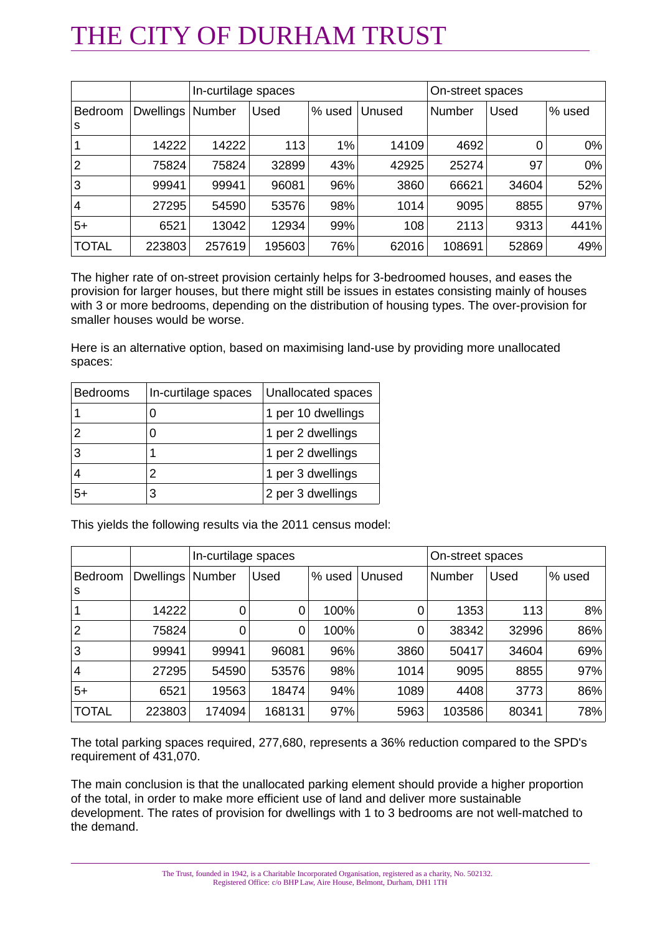|                |                  | In-curtilage spaces |        |        |        | On-street spaces |       |        |
|----------------|------------------|---------------------|--------|--------|--------|------------------|-------|--------|
| Bedroom<br>S   | <b>Dwellings</b> | Number              | Used   | % used | Unused | <b>Number</b>    | Used  | % used |
|                | 14222            | 14222               | 113    | 1%     | 14109  | 4692             |       | 0%     |
| $\overline{2}$ | 75824            | 75824               | 32899  | 43%    | 42925  | 25274            | 97    | 0%     |
| 3              | 99941            | 99941               | 96081  | 96%    | 3860   | 66621            | 34604 | 52%    |
| 4              | 27295            | 54590               | 53576  | 98%    | 1014   | 9095             | 8855  | 97%    |
| $5+$           | 6521             | 13042               | 12934  | 99%    | 108    | 2113             | 9313  | 441%   |
| <b>TOTAL</b>   | 223803           | 257619              | 195603 | 76%    | 62016  | 108691           | 52869 | 49%    |

The higher rate of on-street provision certainly helps for 3-bedroomed houses, and eases the provision for larger houses, but there might still be issues in estates consisting mainly of houses with 3 or more bedrooms, depending on the distribution of housing types. The over-provision for smaller houses would be worse.

Here is an alternative option, based on maximising land-use by providing more unallocated spaces:

| <b>Bedrooms</b> | In-curtilage spaces | Unallocated spaces |
|-----------------|---------------------|--------------------|
|                 | I)                  | 1 per 10 dwellings |
| 2               |                     | 1 per 2 dwellings  |
| 3               |                     | 1 per 2 dwellings  |
|                 |                     | 1 per 3 dwellings  |
| 5+              | 3                   | 2 per 3 dwellings  |

This yields the following results via the 2011 census model:

|                |                  |        | In-curtilage spaces |        |        |        | On-street spaces |        |
|----------------|------------------|--------|---------------------|--------|--------|--------|------------------|--------|
| Bedroom<br>s   | <b>Dwellings</b> | Number | Used                | % used | Unused | Number | Used             | % used |
|                | 14222            | 0      | 0                   | 100%   | 0      | 1353   | 113              | 8%     |
| $\overline{2}$ | 75824            | 0      | 0                   | 100%   | 0      | 38342  | 32996            | 86%    |
| 3              | 99941            | 99941  | 96081               | 96%    | 3860   | 50417  | 34604            | 69%    |
| 4              | 27295            | 54590  | 53576               | 98%    | 1014   | 9095   | 8855             | 97%    |
| $5+$           | 6521             | 19563  | 18474               | 94%    | 1089   | 4408   | 3773             | 86%    |
| <b>TOTAL</b>   | 223803           | 174094 | 168131              | 97%    | 5963   | 103586 | 80341            | 78%    |

The total parking spaces required, 277,680, represents a 36% reduction compared to the SPD's requirement of 431,070.

The main conclusion is that the unallocated parking element should provide a higher proportion of the total, in order to make more efficient use of land and deliver more sustainable development. The rates of provision for dwellings with 1 to 3 bedrooms are not well-matched to the demand.